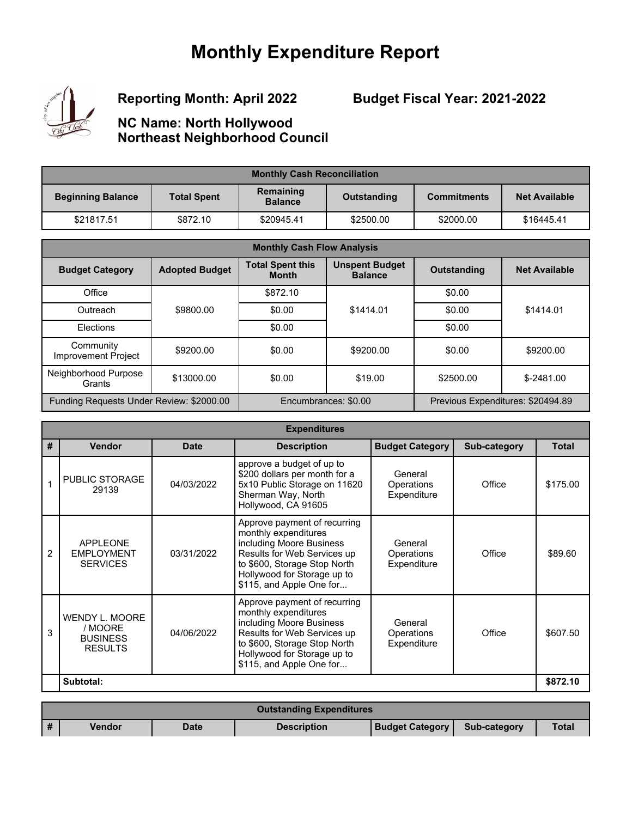## **Monthly Expenditure Report**



**Reporting Month: April 2022**

## **Budget Fiscal Year: 2021-2022**

## **NC Name: North Hollywood Northeast Neighborhood Council**

| <b>Monthly Cash Reconciliation</b> |                    |                                            |           |                    |                      |  |
|------------------------------------|--------------------|--------------------------------------------|-----------|--------------------|----------------------|--|
| <b>Beginning Balance</b>           | <b>Total Spent</b> | Remaining<br>Outstanding<br><b>Balance</b> |           | <b>Commitments</b> | <b>Net Available</b> |  |
| \$21817.51                         | \$872.10           | \$20945.41                                 | \$2500.00 | \$2000.00          | \$16445.41           |  |

| <b>Monthly Cash Flow Analysis</b>        |                       |                                         |                                         |                                   |                      |  |
|------------------------------------------|-----------------------|-----------------------------------------|-----------------------------------------|-----------------------------------|----------------------|--|
| <b>Budget Category</b>                   | <b>Adopted Budget</b> | <b>Total Spent this</b><br><b>Month</b> | <b>Unspent Budget</b><br><b>Balance</b> | <b>Outstanding</b>                | <b>Net Available</b> |  |
| Office                                   |                       | \$872.10                                |                                         | \$0.00                            |                      |  |
| Outreach                                 | \$9800.00             | \$0.00                                  | \$1414.01                               | \$0.00                            | \$1414.01            |  |
| Elections                                |                       | \$0.00                                  |                                         | \$0.00                            |                      |  |
| Community<br>Improvement Project         | \$9200.00             | \$0.00                                  | \$9200.00                               | \$0.00                            | \$9200.00            |  |
| Neighborhood Purpose<br>Grants           | \$13000.00            | \$0.00                                  | \$19.00                                 | \$2500.00                         | $$-2481.00$          |  |
| Funding Requests Under Review: \$2000.00 |                       | Encumbrances: \$0.00                    |                                         | Previous Expenditures: \$20494.89 |                      |  |

|   | <b>Expenditures</b>                                                   |             |                                                                                                                                                                                                            |                                             |                     |              |  |  |
|---|-----------------------------------------------------------------------|-------------|------------------------------------------------------------------------------------------------------------------------------------------------------------------------------------------------------------|---------------------------------------------|---------------------|--------------|--|--|
| # | <b>Vendor</b>                                                         | <b>Date</b> | <b>Description</b>                                                                                                                                                                                         | <b>Budget Category</b>                      | <b>Sub-category</b> | <b>Total</b> |  |  |
| 1 | <b>PUBLIC STORAGE</b><br>29139                                        | 04/03/2022  | approve a budget of up to<br>\$200 dollars per month for a<br>5x10 Public Storage on 11620<br>Sherman Way, North<br>Hollywood, CA 91605                                                                    | General<br><b>Operations</b><br>Expenditure | Office              | \$175.00     |  |  |
| 2 | <b>APPLEONE</b><br><b>EMPLOYMENT</b><br><b>SERVICES</b>               | 03/31/2022  | Approve payment of recurring<br>monthly expenditures<br>including Moore Business<br>Results for Web Services up<br>to \$600, Storage Stop North<br>Hollywood for Storage up to<br>\$115, and Apple One for | General<br>Operations<br>Expenditure        | Office              | \$89.60      |  |  |
| 3 | <b>WENDY L. MOORE</b><br>/ MOORE<br><b>BUSINESS</b><br><b>RESULTS</b> | 04/06/2022  | Approve payment of recurring<br>monthly expenditures<br>including Moore Business<br>Results for Web Services up<br>to \$600, Storage Stop North<br>Hollywood for Storage up to<br>\$115, and Apple One for | General<br>Operations<br>Expenditure        | Office              | \$607.50     |  |  |
|   | Subtotal:                                                             |             |                                                                                                                                                                                                            |                                             |                     | \$872.10     |  |  |
|   |                                                                       |             |                                                                                                                                                                                                            |                                             |                     |              |  |  |

| <b>Outstanding Expenditures</b> |             |                    |                        |                     |              |  |  |
|---------------------------------|-------------|--------------------|------------------------|---------------------|--------------|--|--|
| <b>Vendor</b>                   | <b>Date</b> | <b>Description</b> | <b>Budget Category</b> | <b>Sub-category</b> | <b>Total</b> |  |  |